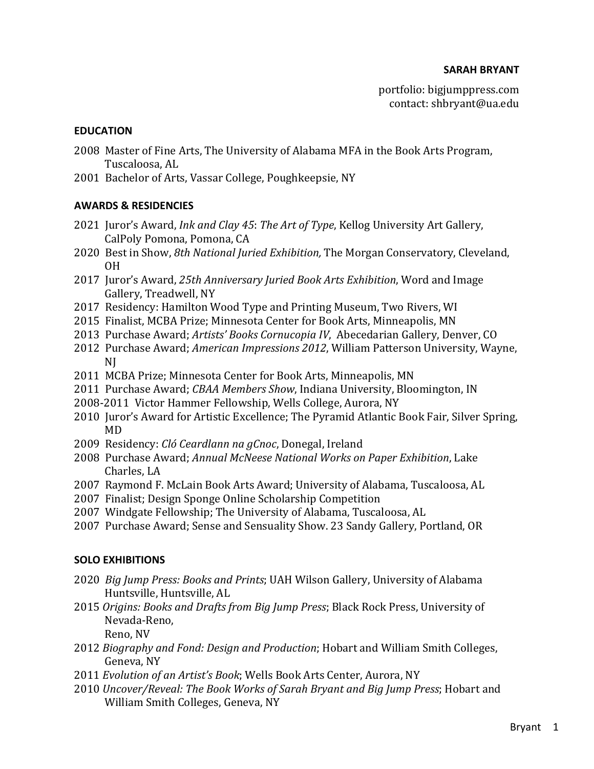#### **EDUCATION**

- 2008 Master of Fine Arts, The University of Alabama MFA in the Book Arts Program, Tuscaloosa, AL
- 2001 Bachelor of Arts, Vassar College, Poughkeepsie, NY

### **AWARDS & RESIDENCIES**

- 2021 Juror's Award, *Ink and Clay 45: The Art of Type*, Kellog University Art Gallery, CalPoly Pomona, Pomona, CA
- 2020 Best in Show, 8th National Juried Exhibition, The Morgan Conservatory, Cleveland, OH
- 2017 Juror's Award, 25th Anniversary Juried Book Arts Exhibition, Word and Image Gallery, Treadwell, NY
- 2017 Residency: Hamilton Wood Type and Printing Museum, Two Rivers, WI
- 2015 Finalist, MCBA Prize; Minnesota Center for Book Arts, Minneapolis, MN
- 2013 Purchase Award; Artists' Books Cornucopia IV, Abecedarian Gallery, Denver, CO
- 2012 Purchase Award; *American Impressions 2012*, William Patterson University, Wayne, NJ
- 2011 MCBA Prize; Minnesota Center for Book Arts, Minneapolis, MN
- 2011 Purchase Award; *CBAA Members Show*, Indiana University, Bloomington, IN
- 2008-2011 Victor Hammer Fellowship, Wells College, Aurora, NY
- 2010 Juror's Award for Artistic Excellence; The Pyramid Atlantic Book Fair, Silver Spring, MD
- 2009 Residency: *Cló Ceardlann na gCnoc*, Donegal, Ireland
- 2008 Purchase Award; *Annual McNeese National Works on Paper Exhibition*, Lake Charles, LA
- 2007 Raymond F. McLain Book Arts Award; University of Alabama, Tuscaloosa, AL
- 2007 Finalist; Design Sponge Online Scholarship Competition
- 2007 Windgate Fellowship; The University of Alabama, Tuscaloosa, AL
- 2007 Purchase Award; Sense and Sensuality Show. 23 Sandy Gallery, Portland, OR

#### **SOLO EXHIBITIONS**

- 2020 *Big Jump Press: Books and Prints*; UAH Wilson Gallery, University of Alabama Huntsville, Huntsville, AL
- 2015 Origins: Books and Drafts from Big Jump Press; Black Rock Press, University of Nevada-Reno, Reno, NV
- 2012 *Biography and Fond: Design and Production*; Hobart and William Smith Colleges, Geneva, NY
- 2011 *Evolution of an Artist's Book*; Wells Book Arts Center, Aurora, NY
- 2010 *Uncover/Reveal: The Book Works of Sarah Bryant and Big Jump Press*; Hobart and William Smith Colleges, Geneva, NY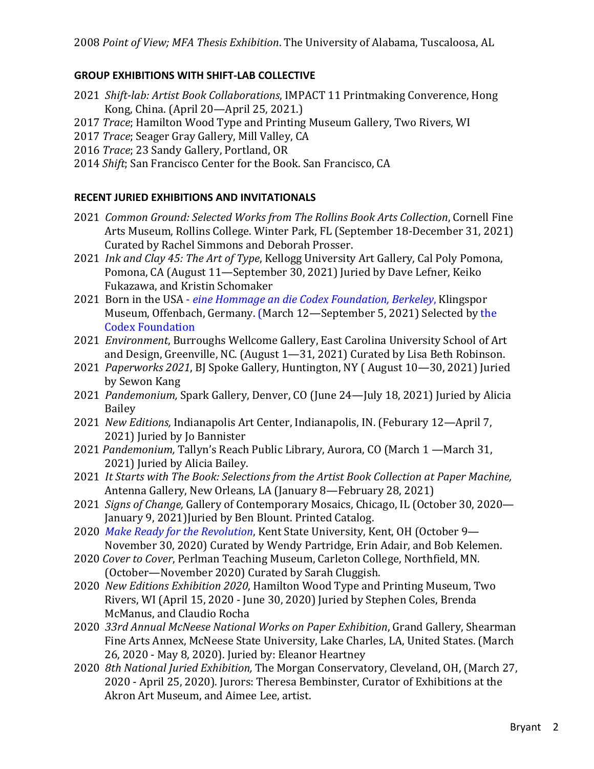## **GROUP EXHIBITIONS WITH SHIFT-LAB COLLECTIVE**

- 2021 Shift-lab: Artist Book Collaborations, IMPACT 11 Printmaking Converence, Hong Kong, China. (April 20—April 25, 2021.)
- 2017 *Trace*; Hamilton Wood Type and Printing Museum Gallery, Two Rivers, WI
- 2017 *Trace*; Seager Gray Gallery, Mill Valley, CA
- 2016 *Trace*; 23 Sandy Gallery, Portland, OR
- 2014 Shift; San Francisco Center for the Book. San Francisco, CA

# **RECENT JURIED EXHIBITIONS AND INVITATIONALS**

- 2021 *Common Ground: Selected Works from The Rollins Book Arts Collection*, Cornell Fine Arts Museum, Rollins College. Winter Park, FL (September 18-December 31, 2021) Curated by Rachel Simmons and Deborah Prosser.
- 2021 *Ink and Clay 45: The Art of Type*, Kellogg University Art Gallery, Cal Poly Pomona, Pomona, CA (August 11—September 30, 2021) Juried by Dave Lefner, Keiko Fukazawa, and Kristin Schomaker
- 2021 Born in the USA *eine Hommage an die Codex Foundation, Berkeley*, Klingspor Museum, Offenbach, Germany. (March 12—September 5, 2021) Selected by the Codex Foundation
- 2021 *Environment*, Burroughs Wellcome Gallery, East Carolina University School of Art and Design, Greenville, NC. (August  $1-31$ , 2021) Curated by Lisa Beth Robinson.
- 2021 Paperworks 2021, BJ Spoke Gallery, Huntington, NY (August 10-30, 2021) Juried by Sewon Kang
- 2021 *Pandemonium,* Spark Gallery, Denver, CO (June 24—July 18, 2021) Juried by Alicia Bailey
- 2021 New Editions, Indianapolis Art Center, Indianapolis, IN. (Feburary 12—April 7, 2021) Juried by Jo Bannister
- 2021 *Pandemonium*, Tallyn's Reach Public Library, Aurora, CO (March 1 —March 31, 2021) Juried by Alicia Bailey.
- 2021 It Starts with The Book: Selections from the Artist Book Collection at Paper Machine, Antenna Gallery, New Orleans, LA (January 8-February 28, 2021)
- 2021 *Signs of Change,* Gallery of Contemporary Mosaics, Chicago, IL (October 30, 2020— January 9, 2021) Juried by Ben Blount. Printed Catalog.
- 2020 *Make Ready for the Revolution*, Kent State University, Kent, OH (October 9-November 30, 2020) Curated by Wendy Partridge, Erin Adair, and Bob Kelemen.
- 2020 *Cover to Cover*, Perlman Teaching Museum, Carleton College, Northfield, MN. (October—November 2020) Curated by Sarah Cluggish.
- 2020 New Editions Exhibition 2020, Hamilton Wood Type and Printing Museum, Two Rivers, WI (April 15, 2020 - June 30, 2020) Juried by Stephen Coles, Brenda McManus, and Claudio Rocha
- 2020 *33rd Annual McNeese National Works on Paper Exhibition*, Grand Gallery, Shearman Fine Arts Annex, McNeese State University, Lake Charles, LA, United States. (March 26, 2020 - May 8, 2020). Juried by: Eleanor Heartney
- 2020 *8th National Juried Exhibition,* The Morgan Conservatory, Cleveland, OH, (March 27, 2020 - April 25, 2020). Jurors: Theresa Bembinster, Curator of Exhibitions at the Akron Art Museum, and Aimee Lee, artist.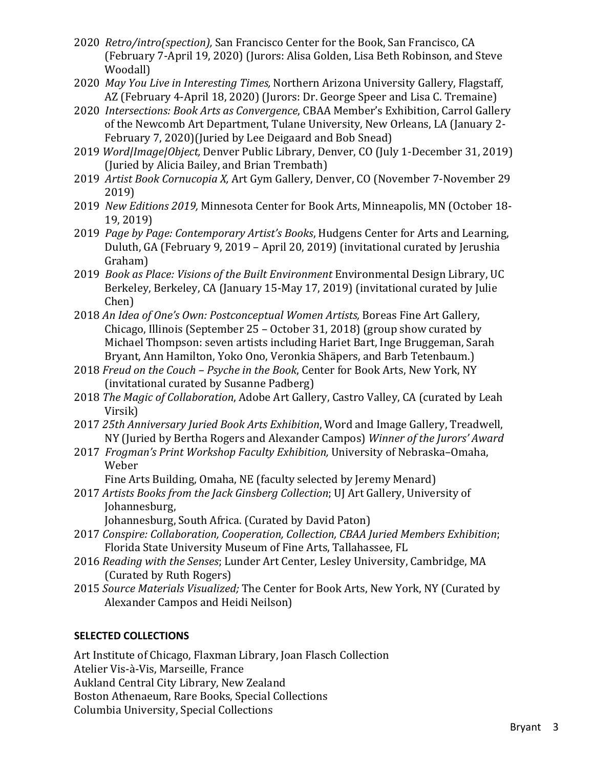- 2020 Retro/intro(spection), San Francisco Center for the Book, San Francisco, CA (February 7-April 19, 2020) (Jurors: Alisa Golden, Lisa Beth Robinson, and Steve Woodall)
- 2020 *May You Live in Interesting Times,* Northern Arizona University Gallery, Flagstaff, AZ (February 4-April 18, 2020) (Jurors: Dr. George Speer and Lisa C. Tremaine)
- 2020 *Intersections: Book Arts as Convergence*, CBAA Member's Exhibition, Carrol Gallery of the Newcomb Art Department, Tulane University, New Orleans, LA (January 2-February 7, 2020)(Juried by Lee Deigaard and Bob Snead)
- 2019 Word/Image/Object, Denver Public Library, Denver, CO (July 1-December 31, 2019) (Juried by Alicia Bailey, and Brian Trembath)
- 2019 Artist Book Cornucopia X, Art Gym Gallery, Denver, CO (November 7-November 29 2019)
- 2019 New Editions 2019, Minnesota Center for Book Arts, Minneapolis, MN (October 18-19, 2019)
- 2019 *Page by Page: Contemporary Artist's Books*, Hudgens Center for Arts and Learning, Duluth, GA (February 9, 2019 – April 20, 2019) (invitational curated by Jerushia Graham)
- 2019 *Book as Place: Visions of the Built Environment* Environmental Design Library, UC Berkeley, Berkeley, CA (January 15-May 17, 2019) (invitational curated by Julie Chen)
- 2018 An Idea of One's Own: Postconceptual Women Artists, Boreas Fine Art Gallery, Chicago, Illinois (September  $25 -$ October 31, 2018) (group show curated by Michael Thompson: seven artists including Hariet Bart, Inge Bruggeman, Sarah Bryant, Ann Hamilton, Yoko Ono, Veronkia Shäpers, and Barb Tetenbaum.)
- 2018 *Freud on the Couch Psyche in the Book*, Center for Book Arts, New York, NY (invitational curated by Susanne Padberg)
- 2018 *The Magic of Collaboration*, Adobe Art Gallery, Castro Valley, CA (curated by Leah Virsik)
- 2017 *25th Anniversary Juried Book Arts Exhibition*, Word and Image Gallery, Treadwell, NY (Juried by Bertha Rogers and Alexander Campos) *Winner of the Jurors' Award*
- 2017 *Frogman's Print Workshop Faculty Exhibition*, University of Nebraska-Omaha, Weber

Fine Arts Building, Omaha, NE (faculty selected by Jeremy Menard)

2017 Artists Books from the Jack Ginsberg Collection; UJ Art Gallery, University of Johannesburg, 

Johannesburg, South Africa. (Curated by David Paton)

- 2017 Conspire: Collaboration, Cooperation, Collection, CBAA Juried Members Exhibition; Florida State University Museum of Fine Arts, Tallahassee, FL
- 2016 *Reading with the Senses*; Lunder Art Center, Lesley University, Cambridge, MA (Curated by Ruth Rogers)
- 2015 *Source Materials Visualized;* The Center for Book Arts, New York, NY (Curated by Alexander Campos and Heidi Neilson)

# **SELECTED COLLECTIONS**

Art Institute of Chicago, Flaxman Library, Joan Flasch Collection Atelier Vis-à-Vis, Marseille, France Aukland Central City Library, New Zealand Boston Athenaeum, Rare Books, Special Collections Columbia University, Special Collections